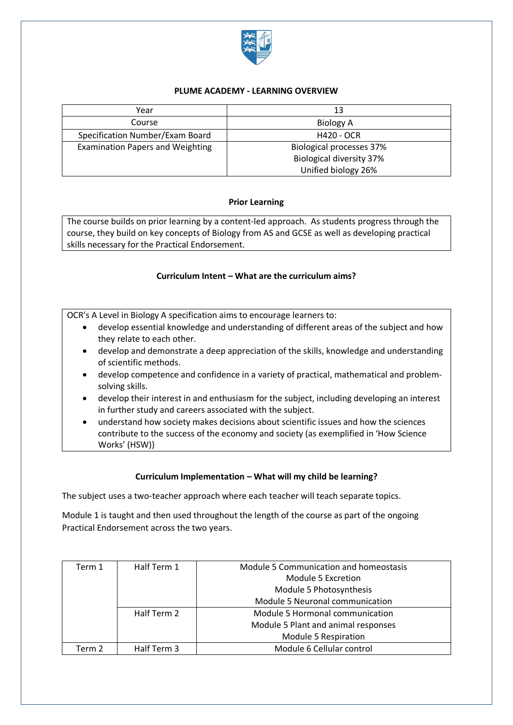

### **PLUME ACADEMY - LEARNING OVERVIEW**

| Year                                    | 13                              |
|-----------------------------------------|---------------------------------|
| Course                                  | <b>Biology A</b>                |
| Specification Number/Exam Board         | <b>H420 - OCR</b>               |
| <b>Examination Papers and Weighting</b> | <b>Biological processes 37%</b> |
|                                         | <b>Biological diversity 37%</b> |
|                                         | Unified biology 26%             |

# **Prior Learning**

The course builds on prior learning by a content-led approach. As students progress through the course, they build on key concepts of Biology from AS and GCSE as well as developing practical skills necessary for the Practical Endorsement.

# **Curriculum Intent – What are the curriculum aims?**

OCR's A Level in Biology A specification aims to encourage learners to:

- develop essential knowledge and understanding of different areas of the subject and how they relate to each other.
- develop and demonstrate a deep appreciation of the skills, knowledge and understanding of scientific methods.
- develop competence and confidence in a variety of practical, mathematical and problemsolving skills.
- develop their interest in and enthusiasm for the subject, including developing an interest in further study and careers associated with the subject.
- understand how society makes decisions about scientific issues and how the sciences contribute to the success of the economy and society (as exemplified in 'How Science Works' (HSW))

### **Curriculum Implementation – What will my child be learning?**

The subject uses a two-teacher approach where each teacher will teach separate topics.

Module 1 is taught and then used throughout the length of the course as part of the ongoing Practical Endorsement across the two years.

| Term 1 | Half Term 1 | Module 5 Communication and homeostasis |
|--------|-------------|----------------------------------------|
|        |             | Module 5 Excretion                     |
|        |             | Module 5 Photosynthesis                |
|        |             | Module 5 Neuronal communication        |
|        | Half Term 2 | Module 5 Hormonal communication        |
|        |             | Module 5 Plant and animal responses    |
|        |             | Module 5 Respiration                   |
| Term 2 | Half Term 3 | Module 6 Cellular control              |